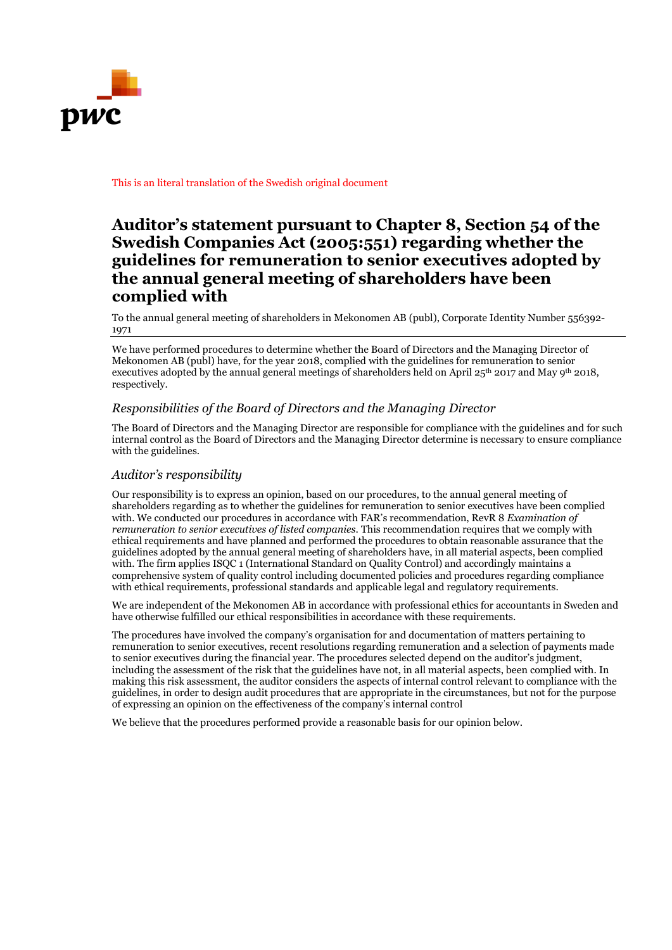

This is an literal translation of the Swedish original document

## **Auditor's statement pursuant to Chapter 8, Section 54 of the Swedish Companies Act (2005:551) regarding whether the guidelines for remuneration to senior executives adopted by the annual general meeting of shareholders have been complied with**

To the annual general meeting of shareholders in Mekonomen AB (publ), Corporate Identity Number 556392- 1971

We have performed procedures to determine whether the Board of Directors and the Managing Director of Mekonomen AB (publ) have, for the year 2018, complied with the guidelines for remuneration to senior executives adopted by the annual general meetings of shareholders held on April 25<sup>th</sup> 2017 and May 9<sup>th</sup> 2018, respectively.

## *Responsibilities of the Board of Directors and the Managing Director*

The Board of Directors and the Managing Director are responsible for compliance with the guidelines and for such internal control as the Board of Directors and the Managing Director determine is necessary to ensure compliance with the guidelines.

## *Auditor's responsibility*

Our responsibility is to express an opinion, based on our procedures, to the annual general meeting of shareholders regarding as to whether the guidelines for remuneration to senior executives have been complied with. We conducted our procedures in accordance with FAR's recommendation, RevR 8 *Examination of remuneration to senior executives of listed companies*. This recommendation requires that we comply with ethical requirements and have planned and performed the procedures to obtain reasonable assurance that the guidelines adopted by the annual general meeting of shareholders have, in all material aspects, been complied with. The firm applies ISQC 1 (International Standard on Quality Control) and accordingly maintains a comprehensive system of quality control including documented policies and procedures regarding compliance with ethical requirements, professional standards and applicable legal and regulatory requirements.

We are independent of the Mekonomen AB in accordance with professional ethics for accountants in Sweden and have otherwise fulfilled our ethical responsibilities in accordance with these requirements.

The procedures have involved the company's organisation for and documentation of matters pertaining to remuneration to senior executives, recent resolutions regarding remuneration and a selection of payments made to senior executives during the financial year. The procedures selected depend on the auditor's judgment, including the assessment of the risk that the guidelines have not, in all material aspects, been complied with. In making this risk assessment, the auditor considers the aspects of internal control relevant to compliance with the guidelines, in order to design audit procedures that are appropriate in the circumstances, but not for the purpose of expressing an opinion on the effectiveness of the company's internal control

We believe that the procedures performed provide a reasonable basis for our opinion below.